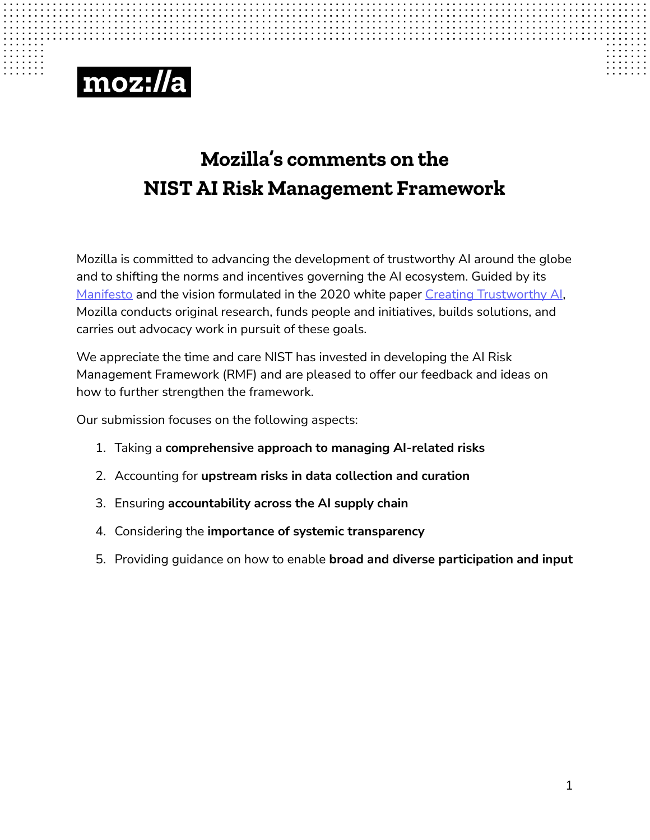# moz://a

#### **Mozilla's comments on the NISTAI Risk Management Framework**

 Mozilla is committed to advancing the development of trustworthy AI around the globe and to shifting the norms and incentives governing the AI ecosystem. Guided by its <u>[Manifesto](https://www.mozilla.org/en-US/about/manifesto/?utm_source=twitter&utm_medium=social&utm_content=manifesto-referral)</u> and the vision formulated in the 2020 white paper <u>[Creating Trustworthy AI](https://foundation.mozilla.org/en/insights/trustworthy-ai-whitepaper/)</u>, Mozilla conducts original research, funds people and initiatives, builds solutions, and carries out advocacy work in pursuit of these goals.

 We appreciate the time and care NIST has invested in developing the AI Risk Management Framework (RMF) and are pleased to offer our feedback and ideas on how to further strengthen the framework.

Our submission focuses on the following aspects:

- 1. Taking a **comprehensive approach to managing AI-related risks**
- 2. Accounting for **upstream risks in data collection and curation**
- 3. Ensuring **accountability across the AI supply chain**
- 4. Considering the **importance of systemic transparency**
- 5. Providing guidance on how to enable **broad and diverse participation and input**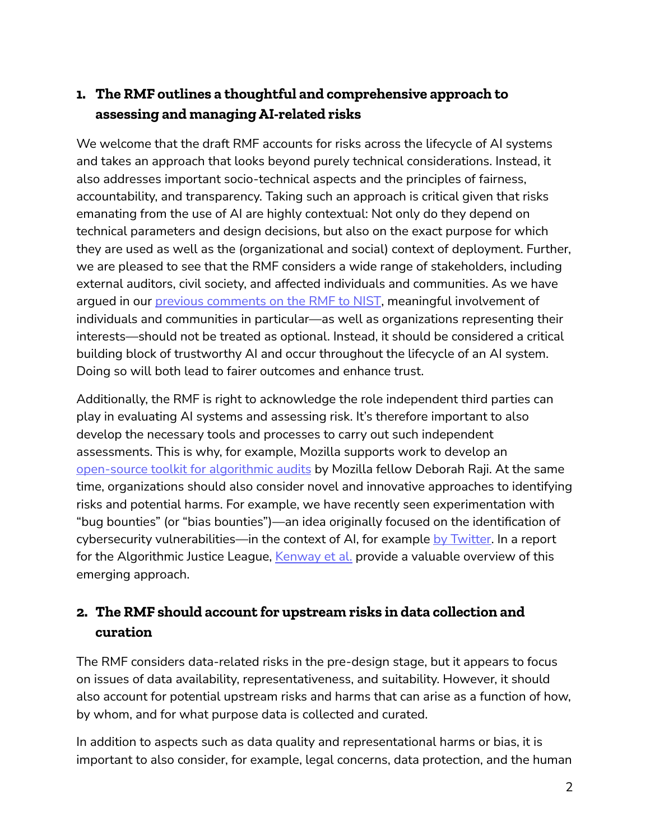### **1. The RMF outlines a thoughtful and comprehensive approach to assessing and managingAI-related risks**

 We welcome that the draft RMF accounts for risks across the lifecycle of AI systems and takes an approach that looks beyond purely technical considerations. Instead, it also addresses important socio-technical aspects and the principles of fairness, accountability, and transparency. Taking such an approach is critical given that risks emanating from the use of AI are highly contextual: Not only do they depend on technical parameters and design decisions, but also on the exact purpose for which they are used as well as the (organizational and social) context of deployment. Further, we are pleased to see that the RMF considers a wide range of stakeholders, including external auditors, civil society, and affected individuals and communities. As we have argued in our <u>[previous comments on the RMF to NIST](https://downloads.regulations.gov/NIST-2021-0004-0032/attachment_1.pdf)</u>, meaningful involvement of individuals and communities in particular—as well as organizations representing their interests—should not be treated as optional. Instead, it should be considered a critical building block of trustworthy AI and occur throughout the lifecycle of an AI system. Doing so will both lead to fairer outcomes and enhance trust.

 Additionally, the RMF is right to acknowledge the role independent third parties can play in evaluating AI systems and assessing risk. It's therefore important to also develop the necessary tools and processes to carry out such independent assessments. This is why, for example, Mozilla supports work to develop an <u>[open-source toolkit for algorithmic audits](https://foundation.mozilla.org/en/blog/its-time-to-develop-the-tools-we-need-to-hold-algorithms-accountable/)</u> by Mozilla fellow Deborah Raji. At the same time, organizations should also consider novel and innovative approaches to identifying risks and potential harms. For example, we have recently seen experimentation with "bug bounties" (or "bias bounties")—an idea originally focused on the identification of cybersecurity vulnerabilities—in the context of AI, for example <u>by Twitter</u>. In a report for the Algorithmic Justice League, <u>[Kenway et al.](https://www.ajl.org/bugs)</u> provide a valuable overview of this emerging approach.

### **2. The RMF should accountfor upstream risks in data collection and curation**

 The RMF considers data-related risks in the pre-design stage, but it appears to focus on issues of data availability, representativeness, and suitability. However, it should also account for potential upstream risks and harms that can arise as a function of how, by whom, and for what purpose data is collected and curated.

 In addition to aspects such as data quality and representational harms or bias, it is important to also consider, for example, legal concerns, data protection, and the human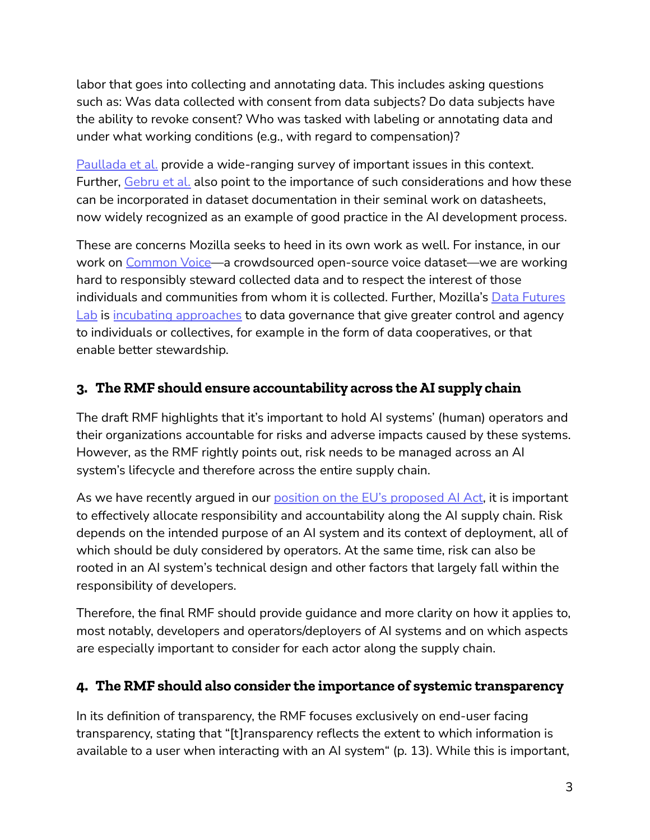labor that goes into collecting and annotating data. This includes asking questions such as: Was data collected with consent from data subjects? Do data subjects have the ability to revoke consent? Who was tasked with labeling or annotating data and under what working conditions (e.g., with regard to compensation)?

 [Paullada et al.](https://pdf.sciencedirectassets.com/776857/1-s2.0-S2666389920X00213/1-s2.0-S2666389921001847/main.pdf?X-Amz-Security-Token=IQoJb3JpZ2luX2VjEH8aCXVzLWVhc3QtMSJHMEUCIGLVSXTScgwHHsihvDgboYedHE%2BJMZWjybRu7ejIfhEXAiEAg23mHL3J96IoRTQi760oCWV3IeXKjlpmAallBScNCLUq0gQISBAEGgwwNTkwMDM1NDY4NjUiDNfLSIRWrAAwNJg6qiqvBIck%2FYmUa8BINkTg7P1cFa7j%2BLVDOdIcCPUxV8xL9AXlYMUYTq3oGum37avdMVeBA3TPRo6FDl35qDPcvbuELJLuso7%2FcN2sJWxhdw9Cp24Pc75Y1bs1J0VLhWtELnd6AXg%2BxbDpQjoa5xTlsowIReakV01UuCRRvoBnVmFTM3bLszJ6HW9%2BI85WIFWfWJu4FarZnnV3tbZA2i2SvJCCH3dOXPZvNVlRhw5ukH1y8ypxp0noM%2BnRcw7NcaZpr80aYqzmmcFUxB2idntxFckunzB7OFzK6uXq1FxJcyTIZ%2Bc98r%2BAy3QICnSPO1%2Beo5CRPo34bKkEiYfoo39cGYQf2tEVM2wHStPcZf5b1r9aaQzlQn8H0kmd1vdRtio9CjjPthDHs3L4%2BxJcCbOqee05rWlW8m31B7QwbDuFyJM0elNhc2O7W3UOv4luN0rUy41X8SJRsfLcpfH6mwfxD3DDA5EWTXVdOguDeMGIYx4VzMQrFaYoV7oL22sO6jZRxzjiKb2wRHkesTuK3jieQT8ED48nquPwiiyT6evmhR%2FevAB9NanBgNgimggyW0NKJGBZrxst1jEPWCNakfcakVMRAzN8aKZfwWz82Pea8XrIjGvChcs101PRkWFjCdLM1sGXMeA6gfpd0BvzbCGI1H6SsKgzzpG6tYqldFXtSAtK82x72FoA3fBFmkyjBdUn%2F1VonMLrUEa1yKR1bgBdPZer3r9CYVDZmwcoBcl4w4kiybQwrtS%2FkwY6qQEbb7deIkt2gf%2B54rvRRQMA%2FDYR2WHl1dpqEiOTKmCcWNlaAwNTJBpzVAvRNThgDWQ8luu9%2BzhqL4RSrjTa0eGvVqdbm7a2ZABBw6yI8a3beu0KVTmbugn%2B2couMrlmqXcVF0CYN%2BBDeJuXg6UsBuqOZ7Aoc32MW7BGTqvIrslOMwPxEuD2QBC4MGp89PsjDbRQAz0OeE7M6XjSxWaG%2Bc1q6fZcxg%2BYJq%2FP&X-Amz-Algorithm=AWS4-HMAC-SHA256&X-Amz-Date=20220502T150552Z&X-Amz-SignedHeaders=host&X-Amz-Expires=300&X-Amz-Credential=ASIAQ3PHCVTY6XL5LKUS%2F20220502%2Fus-east-1%2Fs3%2Faws4_request&X-Amz-Signature=a468f4e33905c6c9fbed0c464ce166d4b9357544c489b3b797cd0ae096c1f736&hash=1a3943f0a69b2362cbcf0b6d2771cc11d8481148e3a9fa5f3c8d21ab065c99e2&host=68042c943591013ac2b2430a89b270f6af2c76d8dfd086a07176afe7c76c2c61&pii=S2666389921001847&tid=spdf-7bb373a7-92bc-4659-bc04-022023d05ce2&sid=93a8e0292d67b44d1c2aacb9275d2bbfa2bagxrqb&type=client&download=true&ua=59535051055e5a5157&rr=7051a8571c87266d) provide a wide-ranging survey of important issues in this context. Further, <u>[Gebru et al.](https://arxiv.org/pdf/1803.09010.pdf)</u> also point to the importance of such considerations and how these can be incorporated in dataset documentation in their seminal work on datasheets, now widely recognized as an example of good practice in the AI development process.

 These are concerns Mozilla seeks to heed in its own work as well. For instance, in our work on <u>Common Voice</u>—a crowdsourced open-source voice dataset—we are working hard to responsibly steward collected data and to respect the interest of those individuals and communities from whom it is collected. Further, Mozilla's <u>[Data Futures](https://foundation.mozilla.org/data-futures-lab/)</u> [Lab](https://foundation.mozilla.org/data-futures-lab/) is [incubating approaches](https://foundation.mozilla.org/en/blog/four-organizations-rethinking-our-data-economy/) to data governance that give greater control and agency to individuals or collectives, for example in the form of data cooperatives, or that enable better stewardship.

### **3. The RMF should ensure accountability across theAI supply chain**

 The draft RMF highlights that it's important to hold AI systems' (human) operators and their organizations accountable for risks and adverse impacts caused by these systems. However, as the RMF rightly points out, risk needs to be managed across an AI system's lifecycle and therefore across the entire supply chain.

As we have recently argued in our <u>[position on the EU's proposed AI Act](https://foundation.mozilla.org/en/blog/how-to-make-sure-the-eu-ai-act-delivers-on-its-promise/)</u>, it is important to effectively allocate responsibility and accountability along the AI supply chain. Risk depends on the intended purpose of an AI system and its context of deployment, all of which should be duly considered by operators. At the same time, risk can also be rooted in an AI system's technical design and other factors that largely fall within the responsibility of developers.

 Therefore, the final RMF should provide guidance and more clarity on how it applies to, most notably, developers and operators/deployers of AI systems and on which aspects are especially important to consider for each actor along the supply chain.

#### **4. The RMF should also consider the importance of systemic transparency**

 In its definition of transparency, the RMF focuses exclusively on end-user facing transparency, stating that "[t]ransparency reflects the extent to which information is available to a user when interacting with an AI system" (p. 13). While this is important,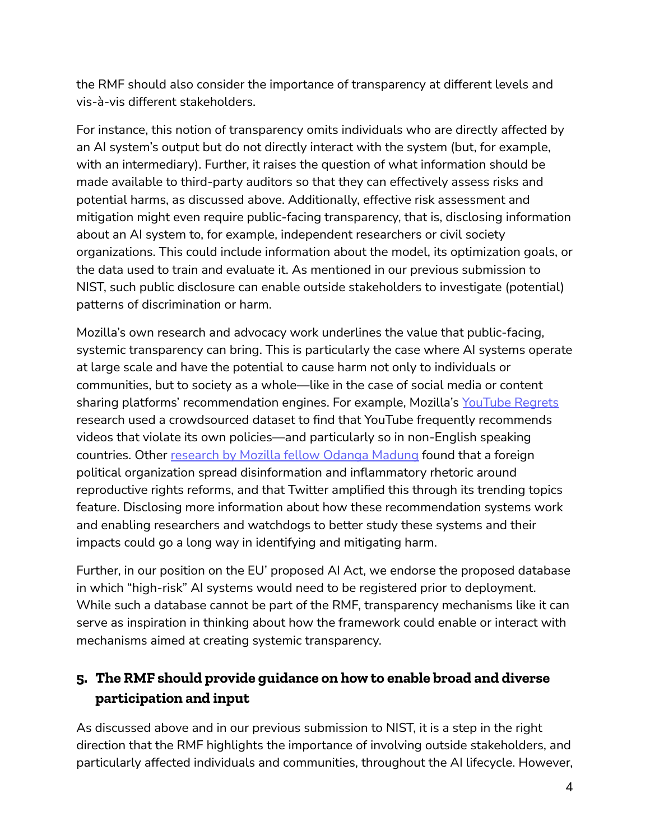the RMF should also consider the importance of transparency at different levels and vis-à-vis different stakeholders.

 For instance, this notion of transparency omits individuals who are directly affected by an AI system's output but do not directly interact with the system (but, for example, with an intermediary). Further, it raises the question of what information should be made available to third-party auditors so that they can effectively assess risks and potential harms, as discussed above. Additionally, effective risk assessment and mitigation might even require public-facing transparency, that is, disclosing information about an AI system to, for example, independent researchers or civil society organizations. This could include information about the model, its optimization goals, or the data used to train and evaluate it. As mentioned in our previous submission to NIST, such public disclosure can enable outside stakeholders to investigate (potential) patterns of discrimination or harm.

 Mozilla's own research and advocacy work underlines the value that public-facing, systemic transparency can bring. This is particularly the case where AI systems operate at large scale and have the potential to cause harm not only to individuals or communities, but to society as a whole—like in the case of social media or content sharing platforms' recommendation engines. For example, Mozilla's <u>[YouTube Regrets](https://foundation.mozilla.org/en/youtube/findings/)</u> research used a crowdsourced dataset to find that YouTube frequently recommends videos that violate its own policies—and particularly so in non-English speaking countries. Other <u>[research by Mozilla fellow Odanga Madung](https://foundation.mozilla.org/en/campaigns/exporting-disinformation-how-foreign-groups-peddle-influence-in-kenya-through-twitter/#executive-summary)</u> found that a foreign political organization spread disinformation and inflammatory rhetoric around reproductive rights reforms, and that Twitter amplified this through its trending topics feature. Disclosing more information about how these recommendation systems work and enabling researchers and watchdogs to better study these systems and their impacts could go a long way in identifying and mitigating harm.

 Further, in our position on the EU' proposed AI Act, we endorse the proposed database in which "high-risk" AI systems would need to be registered prior to deployment. While such a database cannot be part of the RMF, transparency mechanisms like it can serve as inspiration in thinking about how the framework could enable or interact with mechanisms aimed at creating systemic transparency.

## **5. The RMF should provide guidance on how to enable broad and diverse participation and input**

 As discussed above and in our previous submission to NIST, it is a step in the right direction that the RMF highlights the importance of involving outside stakeholders, and particularly affected individuals and communities, throughout the AI lifecycle. However,